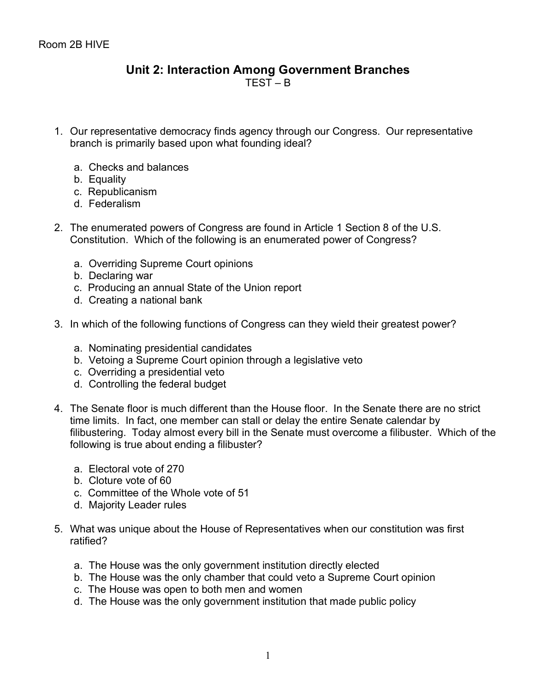## **Unit 2: Interaction Among Government Branches** TEST – B

- 1. Our representative democracy finds agency through our Congress. Our representative branch is primarily based upon what founding ideal?
	- a. Checks and balances
	- b. Equality
	- c. Republicanism
	- d. Federalism
- 2. The enumerated powers of Congress are found in Article 1 Section 8 of the U.S. Constitution. Which of the following is an enumerated power of Congress?
	- a. Overriding Supreme Court opinions
	- b. Declaring war
	- c. Producing an annual State of the Union report
	- d. Creating a national bank
- 3. In which of the following functions of Congress can they wield their greatest power?
	- a. Nominating presidential candidates
	- b. Vetoing a Supreme Court opinion through a legislative veto
	- c. Overriding a presidential veto
	- d. Controlling the federal budget
- 4. The Senate floor is much different than the House floor. In the Senate there are no strict time limits. In fact, one member can stall or delay the entire Senate calendar by filibustering. Today almost every bill in the Senate must overcome a filibuster. Which of the following is true about ending a filibuster?
	- a. Electoral vote of 270
	- b. Cloture vote of 60
	- c. Committee of the Whole vote of 51
	- d. Majority Leader rules
- 5. What was unique about the House of Representatives when our constitution was first ratified?
	- a. The House was the only government institution directly elected
	- b. The House was the only chamber that could veto a Supreme Court opinion
	- c. The House was open to both men and women
	- d. The House was the only government institution that made public policy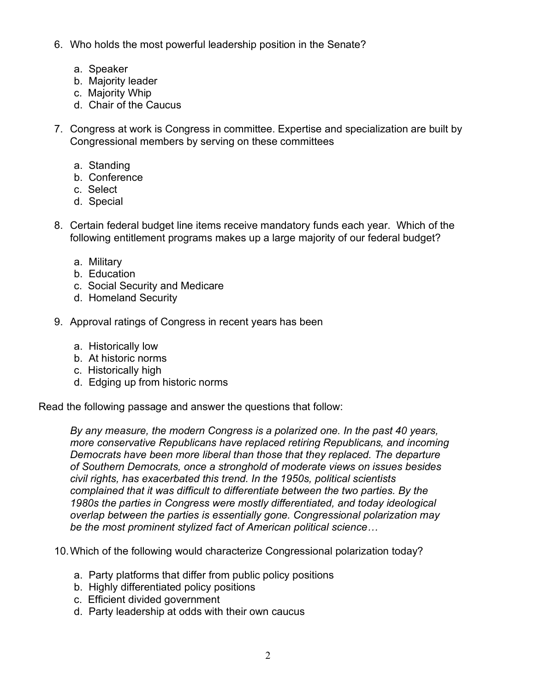- 6. Who holds the most powerful leadership position in the Senate?
	- a. Speaker
	- b. Majority leader
	- c. Majority Whip
	- d. Chair of the Caucus
- 7. Congress at work is Congress in committee. Expertise and specialization are built by Congressional members by serving on these committees
	- a. Standing
	- b. Conference
	- c. Select
	- d. Special
- 8. Certain federal budget line items receive mandatory funds each year. Which of the following entitlement programs makes up a large majority of our federal budget?
	- a. Military
	- b. Education
	- c. Social Security and Medicare
	- d. Homeland Security
- 9. Approval ratings of Congress in recent years has been
	- a. Historically low
	- b. At historic norms
	- c. Historically high
	- d. Edging up from historic norms

Read the following passage and answer the questions that follow:

*By any measure, the modern Congress is a polarized one. In the past 40 years, more conservative Republicans have replaced retiring Republicans, and incoming Democrats have been more liberal than those that they replaced. The departure of Southern Democrats, once a stronghold of moderate views on issues besides civil rights, has exacerbated this trend. In the 1950s, political scientists complained that it was difficult to differentiate between the two parties. By the 1980s the parties in Congress were mostly differentiated, and today ideological overlap between the parties is essentially gone. Congressional polarization may be the most prominent stylized fact of American political science…*

10.Which of the following would characterize Congressional polarization today?

- a. Party platforms that differ from public policy positions
- b. Highly differentiated policy positions
- c. Efficient divided government
- d. Party leadership at odds with their own caucus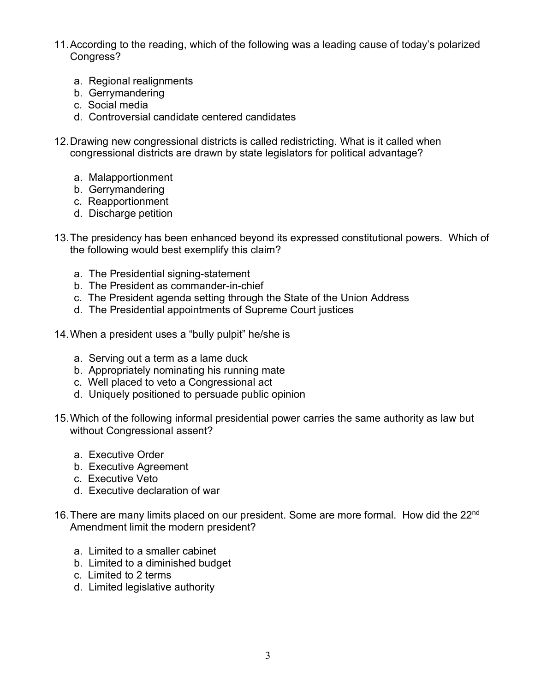- 11.According to the reading, which of the following was a leading cause of today's polarized Congress?
	- a. Regional realignments
	- b. Gerrymandering
	- c. Social media
	- d. Controversial candidate centered candidates
- 12.Drawing new congressional districts is called redistricting. What is it called when congressional districts are drawn by state legislators for political advantage?
	- a. Malapportionment
	- b. Gerrymandering
	- c. Reapportionment
	- d. Discharge petition
- 13.The presidency has been enhanced beyond its expressed constitutional powers. Which of the following would best exemplify this claim?
	- a. The Presidential signing-statement
	- b. The President as commander-in-chief
	- c. The President agenda setting through the State of the Union Address
	- d. The Presidential appointments of Supreme Court justices
- 14.When a president uses a "bully pulpit" he/she is
	- a. Serving out a term as a lame duck
	- b. Appropriately nominating his running mate
	- c. Well placed to veto a Congressional act
	- d. Uniquely positioned to persuade public opinion
- 15.Which of the following informal presidential power carries the same authority as law but without Congressional assent?
	- a. Executive Order
	- b. Executive Agreement
	- c. Executive Veto
	- d. Executive declaration of war
- 16. There are many limits placed on our president. Some are more formal. How did the 22<sup>nd</sup> Amendment limit the modern president?
	- a. Limited to a smaller cabinet
	- b. Limited to a diminished budget
	- c. Limited to 2 terms
	- d. Limited legislative authority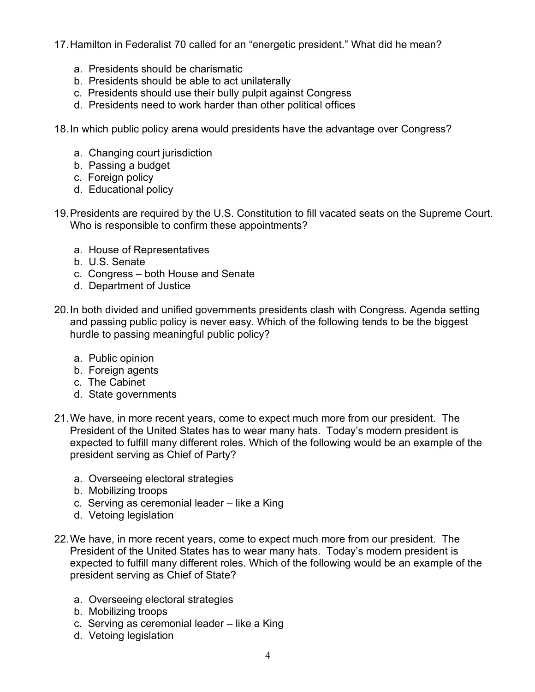17.Hamilton in Federalist 70 called for an "energetic president." What did he mean?

- a. Presidents should be charismatic
- b. Presidents should be able to act unilaterally
- c. Presidents should use their bully pulpit against Congress
- d. Presidents need to work harder than other political offices

18.In which public policy arena would presidents have the advantage over Congress?

- a. Changing court jurisdiction
- b. Passing a budget
- c. Foreign policy
- d. Educational policy
- 19.Presidents are required by the U.S. Constitution to fill vacated seats on the Supreme Court. Who is responsible to confirm these appointments?
	- a. House of Representatives
	- b. U.S. Senate
	- c. Congress both House and Senate
	- d. Department of Justice
- 20.In both divided and unified governments presidents clash with Congress. Agenda setting and passing public policy is never easy. Which of the following tends to be the biggest hurdle to passing meaningful public policy?
	- a. Public opinion
	- b. Foreign agents
	- c. The Cabinet
	- d. State governments
- 21.We have, in more recent years, come to expect much more from our president. The President of the United States has to wear many hats. Today's modern president is expected to fulfill many different roles. Which of the following would be an example of the president serving as Chief of Party?
	- a. Overseeing electoral strategies
	- b. Mobilizing troops
	- c. Serving as ceremonial leader like a King
	- d. Vetoing legislation
- 22.We have, in more recent years, come to expect much more from our president. The President of the United States has to wear many hats. Today's modern president is expected to fulfill many different roles. Which of the following would be an example of the president serving as Chief of State?
	- a. Overseeing electoral strategies
	- b. Mobilizing troops
	- c. Serving as ceremonial leader like a King
	- d. Vetoing legislation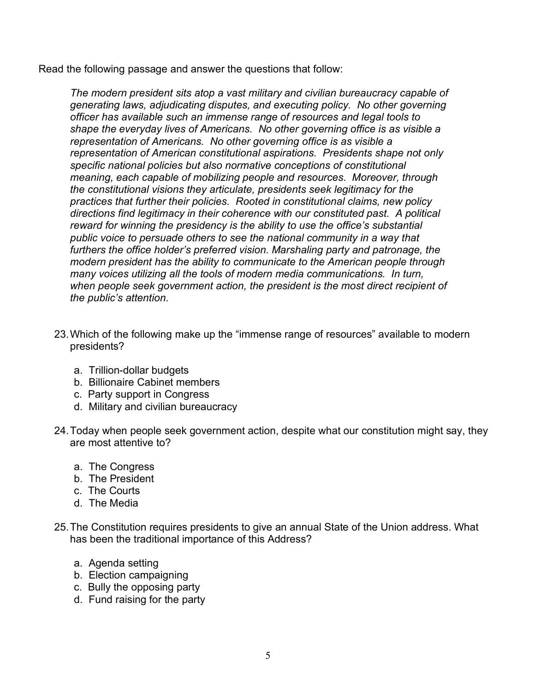Read the following passage and answer the questions that follow:

*The modern president sits atop a vast military and civilian bureaucracy capable of generating laws, adjudicating disputes, and executing policy. No other governing officer has available such an immense range of resources and legal tools to shape the everyday lives of Americans. No other governing office is as visible a representation of Americans. No other governing office is as visible a representation of American constitutional aspirations. Presidents shape not only specific national policies but also normative conceptions of constitutional meaning, each capable of mobilizing people and resources. Moreover, through the constitutional visions they articulate, presidents seek legitimacy for the practices that further their policies. Rooted in constitutional claims, new policy directions find legitimacy in their coherence with our constituted past. A political reward for winning the presidency is the ability to use the office's substantial public voice to persuade others to see the national community in a way that furthers the office holder's preferred vision. Marshaling party and patronage, the modern president has the ability to communicate to the American people through many voices utilizing all the tools of modern media communications. In turn, when people seek government action, the president is the most direct recipient of the public's attention.*

- 23.Which of the following make up the "immense range of resources" available to modern presidents?
	- a. Trillion-dollar budgets
	- b. Billionaire Cabinet members
	- c. Party support in Congress
	- d. Military and civilian bureaucracy
- 24.Today when people seek government action, despite what our constitution might say, they are most attentive to?
	- a. The Congress
	- b. The President
	- c. The Courts
	- d. The Media
- 25.The Constitution requires presidents to give an annual State of the Union address. What has been the traditional importance of this Address?
	- a. Agenda setting
	- b. Election campaigning
	- c. Bully the opposing party
	- d. Fund raising for the party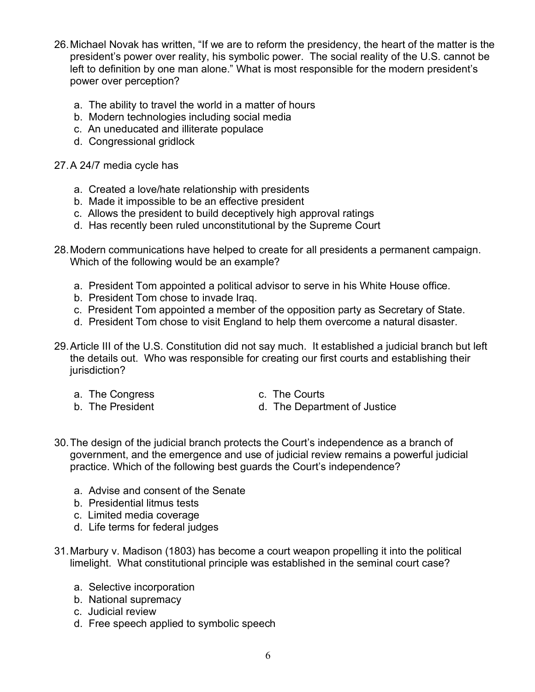- 26.Michael Novak has written, "If we are to reform the presidency, the heart of the matter is the president's power over reality, his symbolic power. The social reality of the U.S. cannot be left to definition by one man alone." What is most responsible for the modern president's power over perception?
	- a. The ability to travel the world in a matter of hours
	- b. Modern technologies including social media
	- c. An uneducated and illiterate populace
	- d. Congressional gridlock

## 27.A 24/7 media cycle has

- a. Created a love/hate relationship with presidents
- b. Made it impossible to be an effective president
- c. Allows the president to build deceptively high approval ratings
- d. Has recently been ruled unconstitutional by the Supreme Court
- 28.Modern communications have helped to create for all presidents a permanent campaign. Which of the following would be an example?
	- a. President Tom appointed a political advisor to serve in his White House office.
	- b. President Tom chose to invade Iraq.
	- c. President Tom appointed a member of the opposition party as Secretary of State.
	- d. President Tom chose to visit England to help them overcome a natural disaster.
- 29.Article III of the U.S. Constitution did not say much. It established a judicial branch but left the details out. Who was responsible for creating our first courts and establishing their jurisdiction?
	- a. The Congress c. The Courts
	-
- 
- b. The President d. The Department of Justice
- 30.The design of the judicial branch protects the Court's independence as a branch of government, and the emergence and use of judicial review remains a powerful judicial practice. Which of the following best guards the Court's independence?
	- a. Advise and consent of the Senate
	- b. Presidential litmus tests
	- c. Limited media coverage
	- d. Life terms for federal judges
- 31.Marbury v. Madison (1803) has become a court weapon propelling it into the political limelight. What constitutional principle was established in the seminal court case?
	- a. Selective incorporation
	- b. National supremacy
	- c. Judicial review
	- d. Free speech applied to symbolic speech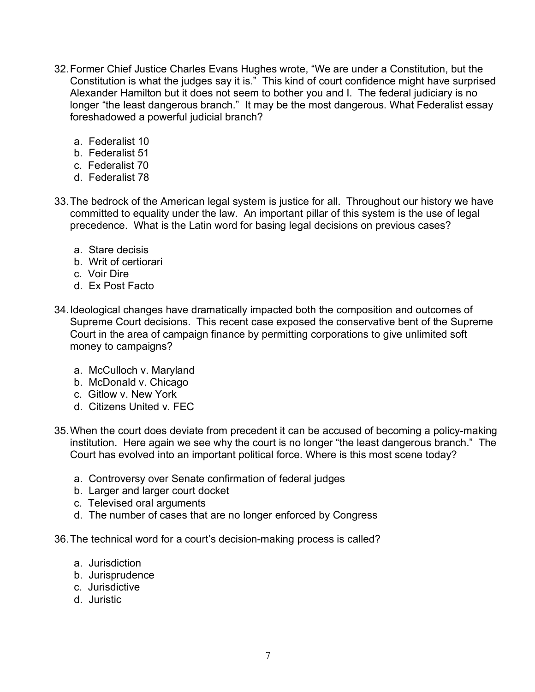- 32.Former Chief Justice Charles Evans Hughes wrote, "We are under a Constitution, but the Constitution is what the judges say it is." This kind of court confidence might have surprised Alexander Hamilton but it does not seem to bother you and I. The federal judiciary is no longer "the least dangerous branch." It may be the most dangerous. What Federalist essay foreshadowed a powerful judicial branch?
	- a. Federalist 10
	- b. Federalist 51
	- c. Federalist 70
	- d. Federalist 78
- 33.The bedrock of the American legal system is justice for all. Throughout our history we have committed to equality under the law. An important pillar of this system is the use of legal precedence. What is the Latin word for basing legal decisions on previous cases?
	- a. Stare decisis
	- b. Writ of certiorari
	- c. Voir Dire
	- d. Ex Post Facto
- 34.Ideological changes have dramatically impacted both the composition and outcomes of Supreme Court decisions. This recent case exposed the conservative bent of the Supreme Court in the area of campaign finance by permitting corporations to give unlimited soft money to campaigns?
	- a. McCulloch v. Maryland
	- b. McDonald v. Chicago
	- c. Gitlow v. New York
	- d. Citizens United v. FEC
- 35.When the court does deviate from precedent it can be accused of becoming a policy-making institution. Here again we see why the court is no longer "the least dangerous branch." The Court has evolved into an important political force. Where is this most scene today?
	- a. Controversy over Senate confirmation of federal judges
	- b. Larger and larger court docket
	- c. Televised oral arguments
	- d. The number of cases that are no longer enforced by Congress

36.The technical word for a court's decision-making process is called?

- a. Jurisdiction
- b. Jurisprudence
- c. Jurisdictive
- d. Juristic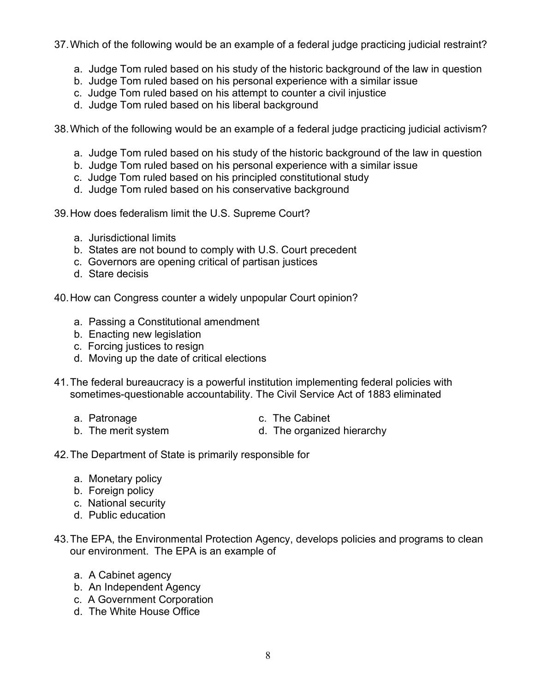37.Which of the following would be an example of a federal judge practicing judicial restraint?

- a. Judge Tom ruled based on his study of the historic background of the law in question
- b. Judge Tom ruled based on his personal experience with a similar issue
- c. Judge Tom ruled based on his attempt to counter a civil injustice
- d. Judge Tom ruled based on his liberal background

38.Which of the following would be an example of a federal judge practicing judicial activism?

- a. Judge Tom ruled based on his study of the historic background of the law in question
- b. Judge Tom ruled based on his personal experience with a similar issue
- c. Judge Tom ruled based on his principled constitutional study
- d. Judge Tom ruled based on his conservative background

39.How does federalism limit the U.S. Supreme Court?

- a. Jurisdictional limits
- b. States are not bound to comply with U.S. Court precedent
- c. Governors are opening critical of partisan justices
- d. Stare decisis

40.How can Congress counter a widely unpopular Court opinion?

- a. Passing a Constitutional amendment
- b. Enacting new legislation
- c. Forcing justices to resign
- d. Moving up the date of critical elections
- 41.The federal bureaucracy is a powerful institution implementing federal policies with sometimes-questionable accountability. The Civil Service Act of 1883 eliminated
	-
	- a. Patronage c. The Cabinet
	- b. The merit system d. The organized hierarchy
- 

42.The Department of State is primarily responsible for

- a. Monetary policy
- b. Foreign policy
- c. National security
- d. Public education
- 43.The EPA, the Environmental Protection Agency, develops policies and programs to clean our environment. The EPA is an example of
	- a. A Cabinet agency
	- b. An Independent Agency
	- c. A Government Corporation
	- d. The White House Office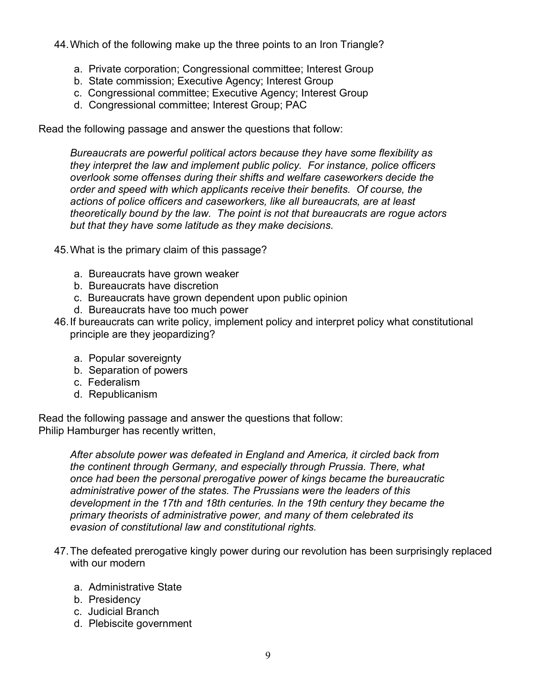44.Which of the following make up the three points to an Iron Triangle?

- a. Private corporation; Congressional committee; Interest Group
- b. State commission; Executive Agency; Interest Group
- c. Congressional committee; Executive Agency; Interest Group
- d. Congressional committee; Interest Group; PAC

Read the following passage and answer the questions that follow:

*Bureaucrats are powerful political actors because they have some flexibility as they interpret the law and implement public policy. For instance, police officers overlook some offenses during their shifts and welfare caseworkers decide the order and speed with which applicants receive their benefits. Of course, the actions of police officers and caseworkers, like all bureaucrats, are at least theoretically bound by the law. The point is not that bureaucrats are rogue actors but that they have some latitude as they make decisions.*

- 45.What is the primary claim of this passage?
	- a. Bureaucrats have grown weaker
	- b. Bureaucrats have discretion
	- c. Bureaucrats have grown dependent upon public opinion
	- d. Bureaucrats have too much power
- 46.If bureaucrats can write policy, implement policy and interpret policy what constitutional principle are they jeopardizing?
	- a. Popular sovereignty
	- b. Separation of powers
	- c. Federalism
	- d. Republicanism

Read the following passage and answer the questions that follow: Philip Hamburger has recently written,

> *After absolute power was defeated in England and America, it circled back from the continent through Germany, and especially through Prussia. There, what once had been the personal prerogative power of kings became the bureaucratic administrative power of the states. The Prussians were the leaders of this development in the 17th and 18th centuries. In the 19th century they became the primary theorists of administrative power, and many of them celebrated its evasion of constitutional law and constitutional rights.*

- 47.The defeated prerogative kingly power during our revolution has been surprisingly replaced with our modern
	- a. Administrative State
	- b. Presidency
	- c. Judicial Branch
	- d. Plebiscite government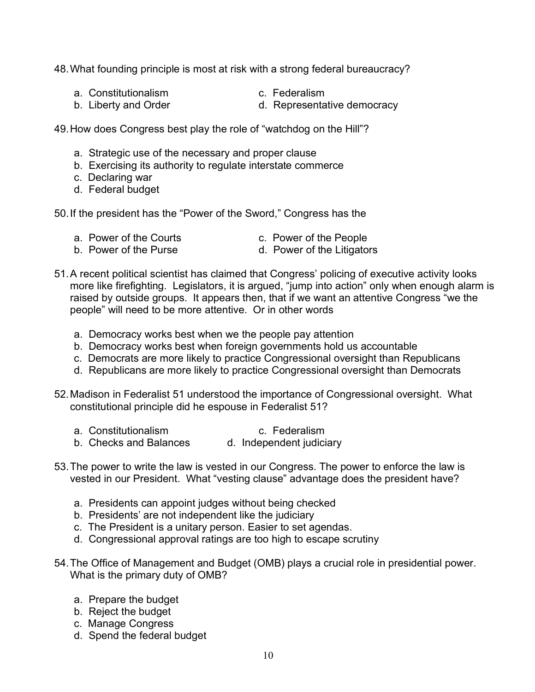48.What founding principle is most at risk with a strong federal bureaucracy?

- a. Constitutionalism c. Federalism
- 
- b. Liberty and Order **d. Representative democracy**

- 49.How does Congress best play the role of "watchdog on the Hill"?
	- a. Strategic use of the necessary and proper clause
	- b. Exercising its authority to regulate interstate commerce
	- c. Declaring war
	- d. Federal budget

50.If the president has the "Power of the Sword," Congress has the

- a. Power of the Courts c. Power of the People
- b. Power of the Purse d. Power of the Litigators
- 51.A recent political scientist has claimed that Congress' policing of executive activity looks more like firefighting. Legislators, it is argued, "jump into action" only when enough alarm is raised by outside groups. It appears then, that if we want an attentive Congress "we the people" will need to be more attentive. Or in other words
	- a. Democracy works best when we the people pay attention
	- b. Democracy works best when foreign governments hold us accountable
	- c. Democrats are more likely to practice Congressional oversight than Republicans
	- d. Republicans are more likely to practice Congressional oversight than Democrats
- 52.Madison in Federalist 51 understood the importance of Congressional oversight. What constitutional principle did he espouse in Federalist 51?
	- a. Constitutionalism c. Federalism
	- b. Checks and Balances d. Independent judiciary
- 53.The power to write the law is vested in our Congress. The power to enforce the law is vested in our President. What "vesting clause" advantage does the president have?
	- a. Presidents can appoint judges without being checked
	- b. Presidents' are not independent like the judiciary
	- c. The President is a unitary person. Easier to set agendas.
	- d. Congressional approval ratings are too high to escape scrutiny
- 54.The Office of Management and Budget (OMB) plays a crucial role in presidential power. What is the primary duty of OMB?
	- a. Prepare the budget
	- b. Reject the budget
	- c. Manage Congress
	- d. Spend the federal budget